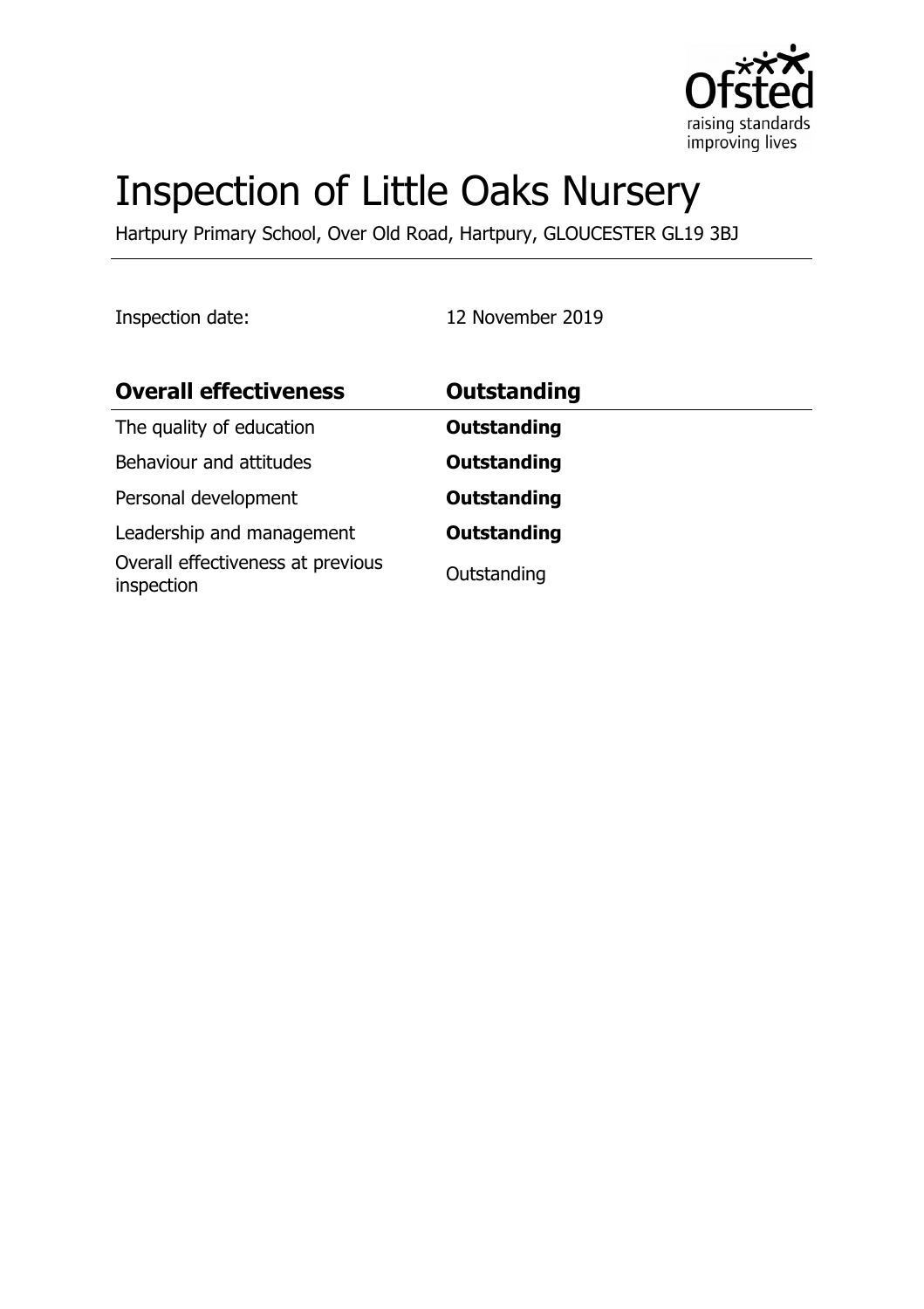

# Inspection of Little Oaks Nursery

Hartpury Primary School, Over Old Road, Hartpury, GLOUCESTER GL19 3BJ

Inspection date: 12 November 2019

| <b>Overall effectiveness</b>                    | Outstanding        |
|-------------------------------------------------|--------------------|
| The quality of education                        | <b>Outstanding</b> |
| Behaviour and attitudes                         | <b>Outstanding</b> |
| Personal development                            | <b>Outstanding</b> |
| Leadership and management                       | <b>Outstanding</b> |
| Overall effectiveness at previous<br>inspection | Outstanding        |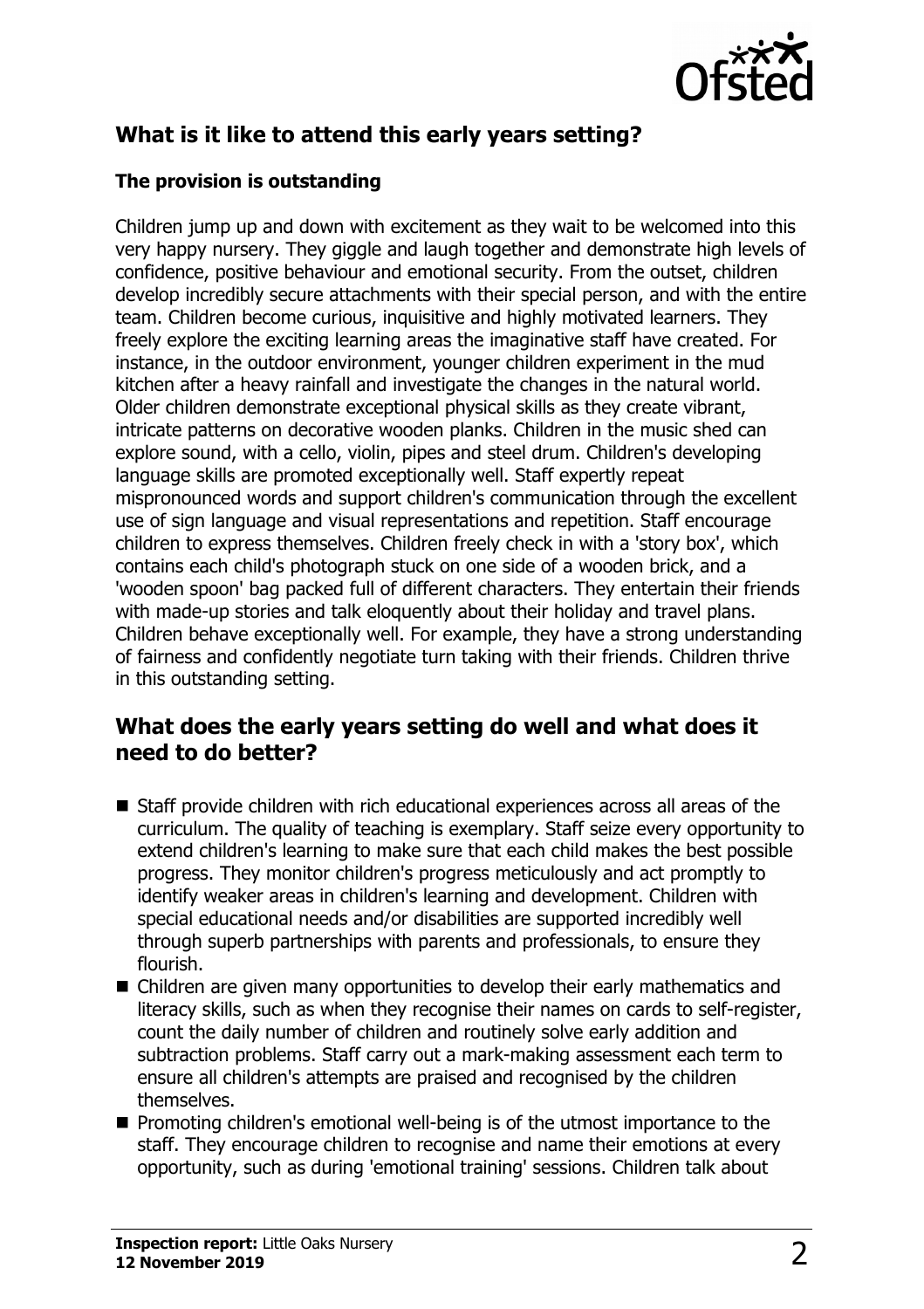

# **What is it like to attend this early years setting?**

#### **The provision is outstanding**

Children jump up and down with excitement as they wait to be welcomed into this very happy nursery. They giggle and laugh together and demonstrate high levels of confidence, positive behaviour and emotional security. From the outset, children develop incredibly secure attachments with their special person, and with the entire team. Children become curious, inquisitive and highly motivated learners. They freely explore the exciting learning areas the imaginative staff have created. For instance, in the outdoor environment, younger children experiment in the mud kitchen after a heavy rainfall and investigate the changes in the natural world. Older children demonstrate exceptional physical skills as they create vibrant, intricate patterns on decorative wooden planks. Children in the music shed can explore sound, with a cello, violin, pipes and steel drum. Children's developing language skills are promoted exceptionally well. Staff expertly repeat mispronounced words and support children's communication through the excellent use of sign language and visual representations and repetition. Staff encourage children to express themselves. Children freely check in with a 'story box', which contains each child's photograph stuck on one side of a wooden brick, and a 'wooden spoon' bag packed full of different characters. They entertain their friends with made-up stories and talk eloquently about their holiday and travel plans. Children behave exceptionally well. For example, they have a strong understanding of fairness and confidently negotiate turn taking with their friends. Children thrive in this outstanding setting.

#### **What does the early years setting do well and what does it need to do better?**

- Staff provide children with rich educational experiences across all areas of the curriculum. The quality of teaching is exemplary. Staff seize every opportunity to extend children's learning to make sure that each child makes the best possible progress. They monitor children's progress meticulously and act promptly to identify weaker areas in children's learning and development. Children with special educational needs and/or disabilities are supported incredibly well through superb partnerships with parents and professionals, to ensure they flourish.
- $\blacksquare$  Children are given many opportunities to develop their early mathematics and literacy skills, such as when they recognise their names on cards to self-register, count the daily number of children and routinely solve early addition and subtraction problems. Staff carry out a mark-making assessment each term to ensure all children's attempts are praised and recognised by the children themselves.
- $\blacksquare$  Promoting children's emotional well-being is of the utmost importance to the staff. They encourage children to recognise and name their emotions at every opportunity, such as during 'emotional training' sessions. Children talk about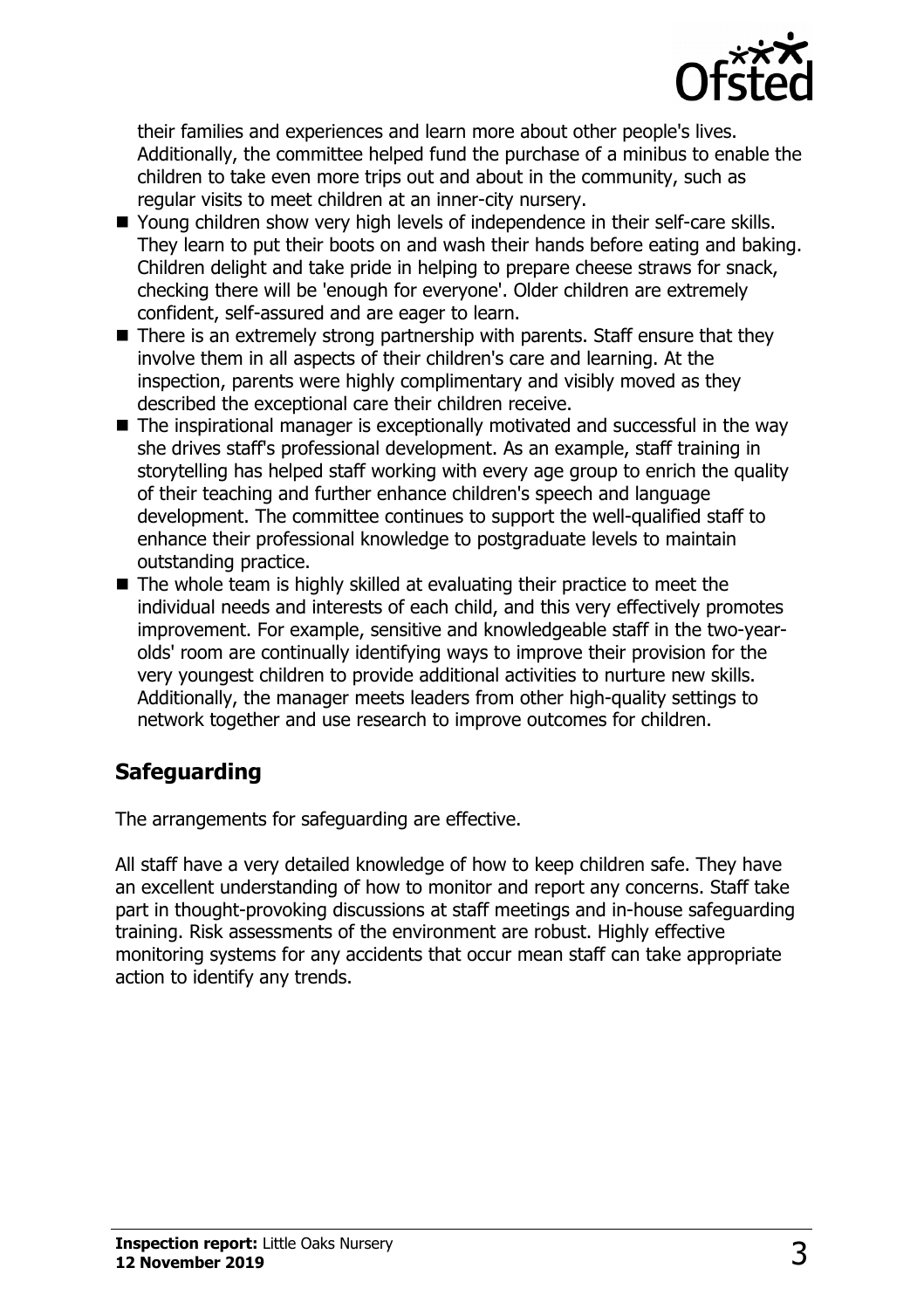

their families and experiences and learn more about other people's lives. Additionally, the committee helped fund the purchase of a minibus to enable the children to take even more trips out and about in the community, such as regular visits to meet children at an inner-city nursery.

- Young children show very high levels of independence in their self-care skills. They learn to put their boots on and wash their hands before eating and baking. Children delight and take pride in helping to prepare cheese straws for snack, checking there will be 'enough for everyone'. Older children are extremely confident, self-assured and are eager to learn.
- $\blacksquare$  There is an extremely strong partnership with parents. Staff ensure that they involve them in all aspects of their children's care and learning. At the inspection, parents were highly complimentary and visibly moved as they described the exceptional care their children receive.
- $\blacksquare$  The inspirational manager is exceptionally motivated and successful in the way she drives staff's professional development. As an example, staff training in storytelling has helped staff working with every age group to enrich the quality of their teaching and further enhance children's speech and language development. The committee continues to support the well-qualified staff to enhance their professional knowledge to postgraduate levels to maintain outstanding practice.
- $\blacksquare$  The whole team is highly skilled at evaluating their practice to meet the individual needs and interests of each child, and this very effectively promotes improvement. For example, sensitive and knowledgeable staff in the two-yearolds' room are continually identifying ways to improve their provision for the very youngest children to provide additional activities to nurture new skills. Additionally, the manager meets leaders from other high-quality settings to network together and use research to improve outcomes for children.

## **Safeguarding**

The arrangements for safeguarding are effective.

All staff have a very detailed knowledge of how to keep children safe. They have an excellent understanding of how to monitor and report any concerns. Staff take part in thought-provoking discussions at staff meetings and in-house safeguarding training. Risk assessments of the environment are robust. Highly effective monitoring systems for any accidents that occur mean staff can take appropriate action to identify any trends.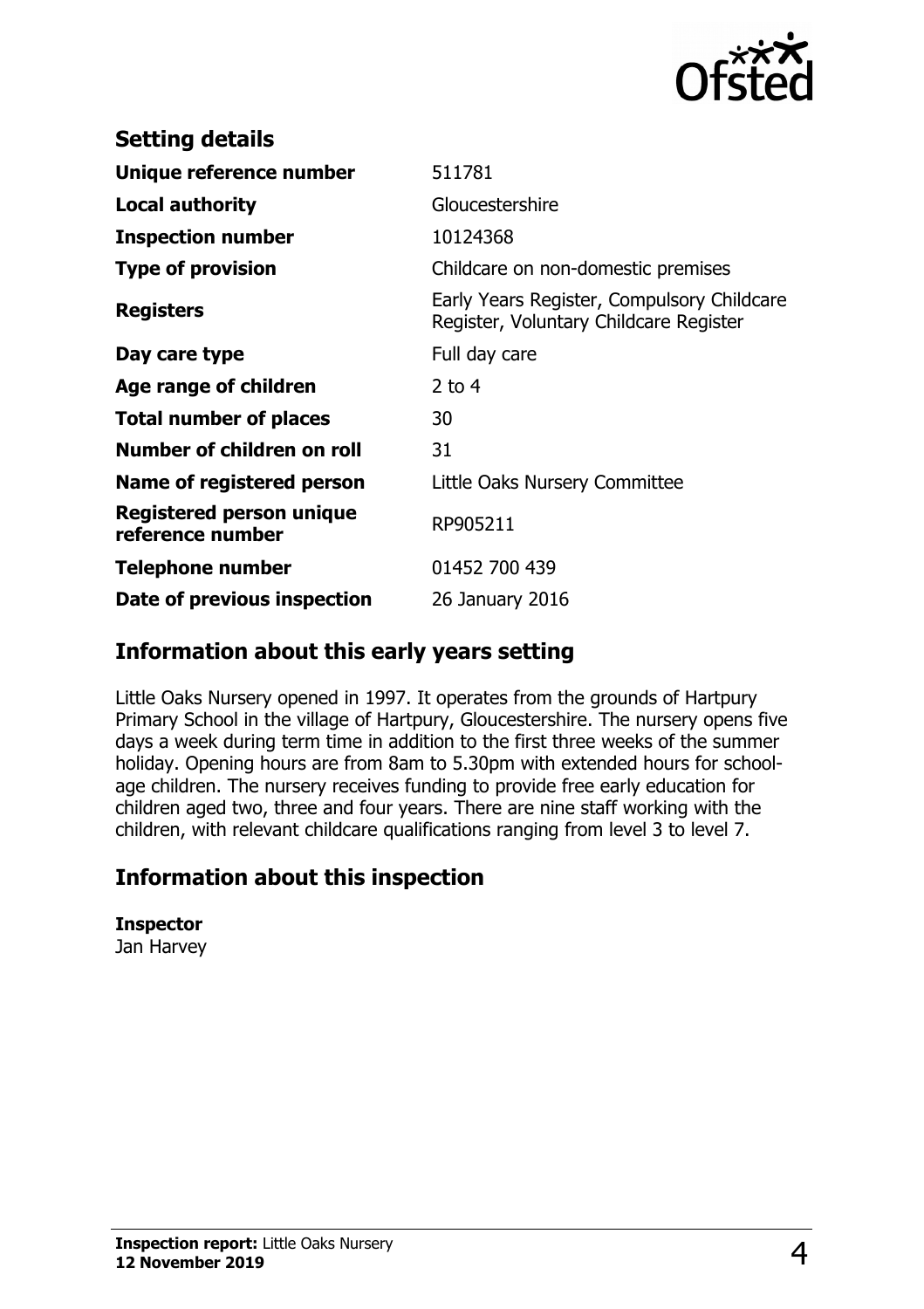

| <b>Setting details</b>                              |                                                                                      |
|-----------------------------------------------------|--------------------------------------------------------------------------------------|
| Unique reference number                             | 511781                                                                               |
| <b>Local authority</b>                              | Gloucestershire                                                                      |
| <b>Inspection number</b>                            | 10124368                                                                             |
| <b>Type of provision</b>                            | Childcare on non-domestic premises                                                   |
| <b>Registers</b>                                    | Early Years Register, Compulsory Childcare<br>Register, Voluntary Childcare Register |
| Day care type                                       | Full day care                                                                        |
| Age range of children                               | $2$ to 4                                                                             |
| <b>Total number of places</b>                       | 30                                                                                   |
| Number of children on roll                          | 31                                                                                   |
| Name of registered person                           | Little Oaks Nursery Committee                                                        |
| <b>Registered person unique</b><br>reference number | RP905211                                                                             |
| <b>Telephone number</b>                             | 01452 700 439                                                                        |
| Date of previous inspection                         | 26 January 2016                                                                      |

### **Information about this early years setting**

Little Oaks Nursery opened in 1997. It operates from the grounds of Hartpury Primary School in the village of Hartpury, Gloucestershire. The nursery opens five days a week during term time in addition to the first three weeks of the summer holiday. Opening hours are from 8am to 5.30pm with extended hours for schoolage children. The nursery receives funding to provide free early education for children aged two, three and four years. There are nine staff working with the children, with relevant childcare qualifications ranging from level 3 to level 7.

## **Information about this inspection**

**Inspector**

Jan Harvey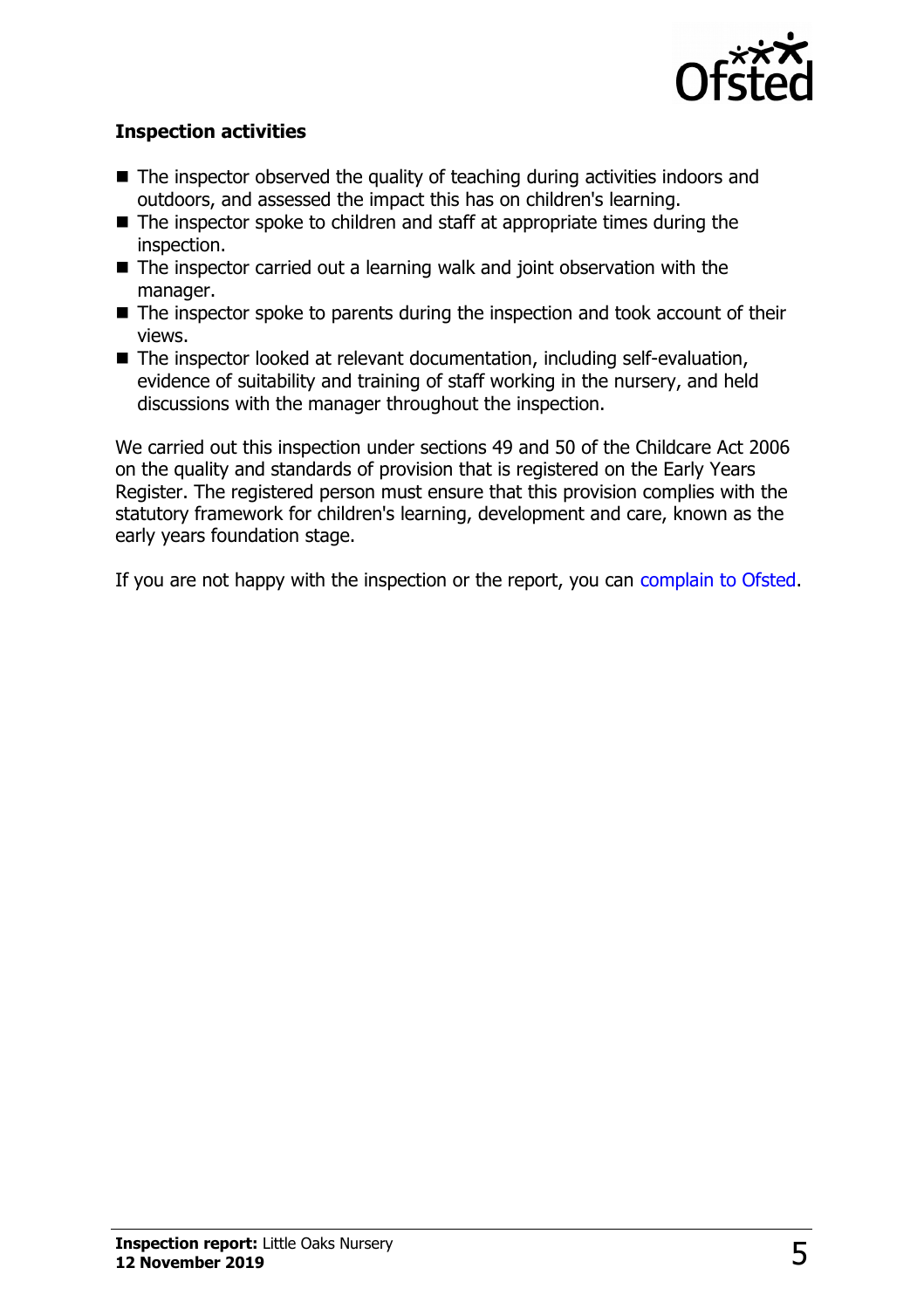

#### **Inspection activities**

- $\blacksquare$  The inspector observed the quality of teaching during activities indoors and outdoors, and assessed the impact this has on children's learning.
- $\blacksquare$  The inspector spoke to children and staff at appropriate times during the inspection.
- $\blacksquare$  The inspector carried out a learning walk and joint observation with the manager.
- $\blacksquare$  The inspector spoke to parents during the inspection and took account of their views.
- $\blacksquare$  The inspector looked at relevant documentation, including self-evaluation, evidence of suitability and training of staff working in the nursery, and held discussions with the manager throughout the inspection.

We carried out this inspection under sections 49 and 50 of the Childcare Act 2006 on the quality and standards of provision that is registered on the Early Years Register. The registered person must ensure that this provision complies with the statutory framework for children's learning, development and care, known as the early years foundation stage.

If you are not happy with the inspection or the report, you can [complain to Ofsted.](http://www.gov.uk/complain-ofsted-report)